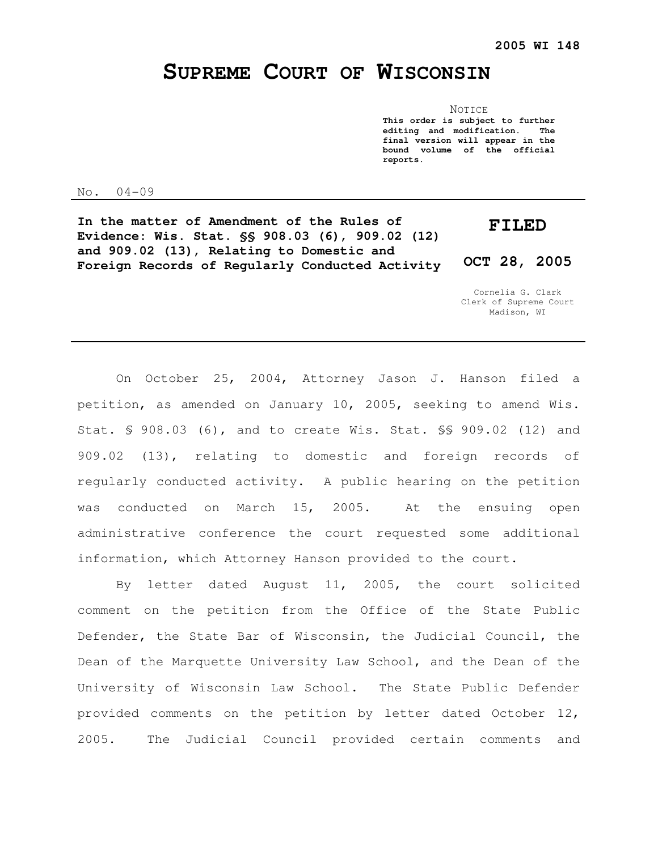# **SUPREME COURT OF WISCONSIN**

**NOTICE This order is subject to further editing and modification. The final version will appear in the bound volume of the official reports.** 

No. 04-09

**In the matter of Amendment of the Rules of Evidence: Wis. Stat. §§ 908.03 (6), 909.02 (12) and 909.02 (13), Relating to Domestic and Foreign Records of Regularly Conducted Activity FILED OCT 28, 2005** 

> Cornelia G. Clark Clerk of Supreme Court Madison, WI

On October 25, 2004, Attorney Jason J. Hanson filed a petition, as amended on January 10, 2005, seeking to amend Wis. Stat. § 908.03 (6), and to create Wis. Stat. §§ 909.02 (12) and 909.02 (13), relating to domestic and foreign records of regularly conducted activity. A public hearing on the petition was conducted on March 15, 2005. At the ensuing open administrative conference the court requested some additional information, which Attorney Hanson provided to the court.

By letter dated August 11, 2005, the court solicited comment on the petition from the Office of the State Public Defender, the State Bar of Wisconsin, the Judicial Council, the Dean of the Marquette University Law School, and the Dean of the University of Wisconsin Law School. The State Public Defender provided comments on the petition by letter dated October 12, 2005. The Judicial Council provided certain comments and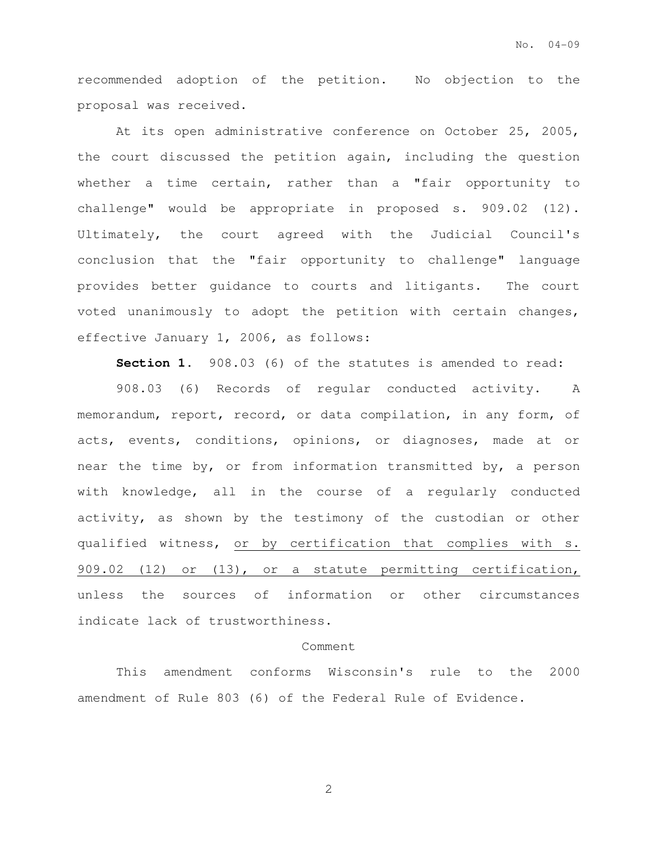recommended adoption of the petition. No objection to the proposal was received.

At its open administrative conference on October 25, 2005, the court discussed the petition again, including the question whether a time certain, rather than a "fair opportunity to challenge" would be appropriate in proposed s. 909.02 (12). Ultimately, the court agreed with the Judicial Council's conclusion that the "fair opportunity to challenge" language provides better guidance to courts and litigants. The court voted unanimously to adopt the petition with certain changes, effective January 1, 2006, as follows:

**Section 1.** 908.03 (6) of the statutes is amended to read:

908.03 (6) Records of regular conducted activity. A memorandum, report, record, or data compilation, in any form, of acts, events, conditions, opinions, or diagnoses, made at or near the time by, or from information transmitted by, a person with knowledge, all in the course of a regularly conducted activity, as shown by the testimony of the custodian or other qualified witness, or by certification that complies with s. 909.02 (12) or (13), or a statute permitting certification, unless the sources of information or other circumstances indicate lack of trustworthiness.

# Comment

This amendment conforms Wisconsin's rule to the 2000 amendment of Rule 803 (6) of the Federal Rule of Evidence.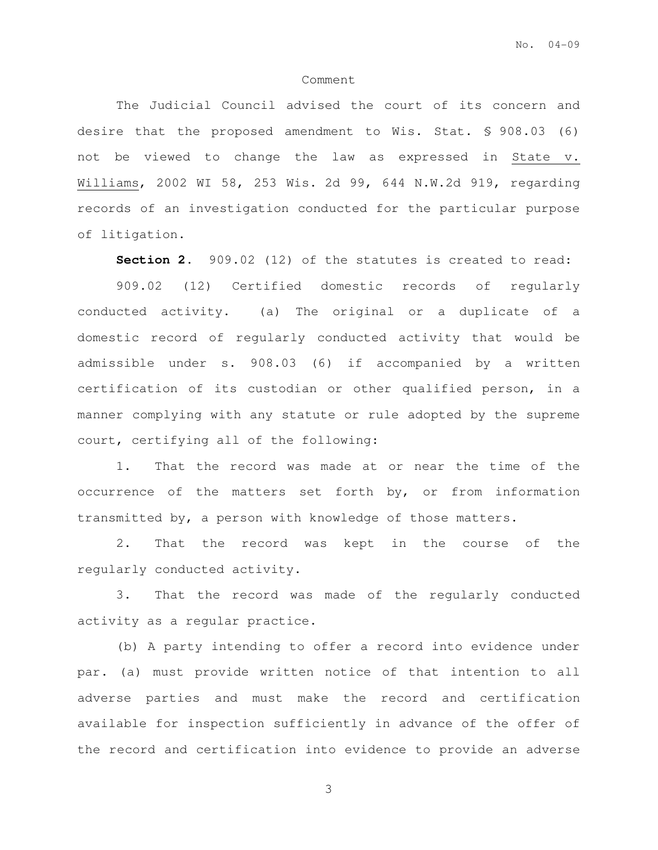#### Comment

The Judicial Council advised the court of its concern and desire that the proposed amendment to Wis. Stat. § 908.03 (6) not be viewed to change the law as expressed in State v. Williams, 2002 WI 58, 253 Wis. 2d 99, 644 N.W.2d 919, regarding records of an investigation conducted for the particular purpose of litigation.

**Section 2.** 909.02 (12) of the statutes is created to read:

909.02 (12) Certified domestic records of regularly conducted activity. (a) The original or a duplicate of a domestic record of regularly conducted activity that would be admissible under s. 908.03 (6) if accompanied by a written certification of its custodian or other qualified person, in a manner complying with any statute or rule adopted by the supreme court, certifying all of the following:

1. That the record was made at or near the time of the occurrence of the matters set forth by, or from information transmitted by, a person with knowledge of those matters.

2. That the record was kept in the course of the regularly conducted activity.

3. That the record was made of the regularly conducted activity as a regular practice.

(b) A party intending to offer a record into evidence under par. (a) must provide written notice of that intention to all adverse parties and must make the record and certification available for inspection sufficiently in advance of the offer of the record and certification into evidence to provide an adverse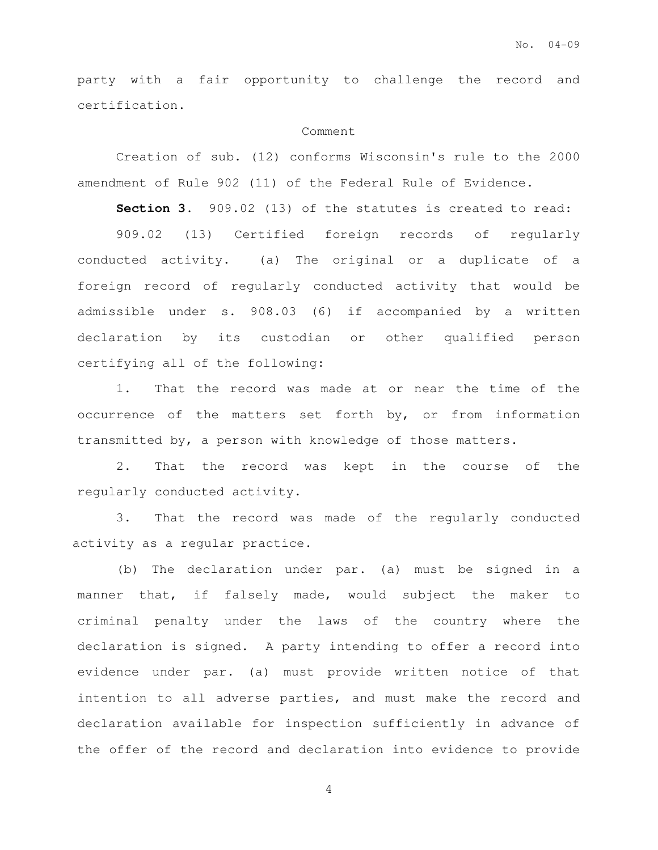party with a fair opportunity to challenge the record and certification.

## Comment

Creation of sub. (12) conforms Wisconsin's rule to the 2000 amendment of Rule 902 (11) of the Federal Rule of Evidence.

**Section 3.** 909.02 (13) of the statutes is created to read:

909.02 (13) Certified foreign records of regularly conducted activity. (a) The original or a duplicate of a foreign record of regularly conducted activity that would be admissible under s. 908.03 (6) if accompanied by a written declaration by its custodian or other qualified person certifying all of the following:

1. That the record was made at or near the time of the occurrence of the matters set forth by, or from information transmitted by, a person with knowledge of those matters.

2. That the record was kept in the course of the regularly conducted activity.

3. That the record was made of the regularly conducted activity as a regular practice.

(b) The declaration under par. (a) must be signed in a manner that, if falsely made, would subject the maker to criminal penalty under the laws of the country where the declaration is signed. A party intending to offer a record into evidence under par. (a) must provide written notice of that intention to all adverse parties, and must make the record and declaration available for inspection sufficiently in advance of the offer of the record and declaration into evidence to provide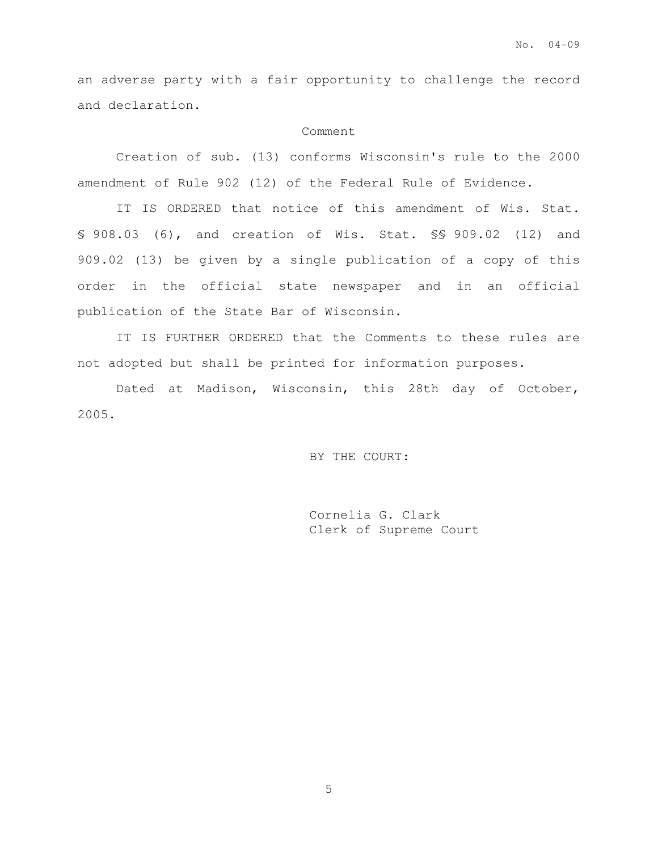an adverse party with a fair opportunity to challenge the record and declaration.

## Comment

Creation of sub. (13) conforms Wisconsin's rule to the 2000 amendment of Rule 902 (12) of the Federal Rule of Evidence.

IT IS ORDERED that notice of this amendment of Wis. Stat. § 908.03 (6), and creation of Wis. Stat. §§ 909.02 (12) and 909.02 (13) be given by a single publication of a copy of this order in the official state newspaper and in an official publication of the State Bar of Wisconsin.

IT IS FURTHER ORDERED that the Comments to these rules are not adopted but shall be printed for information purposes.

Dated at Madison, Wisconsin, this 28th day of October, 2005.

BY THE COURT:

Cornelia G. Clark Clerk of Supreme Court